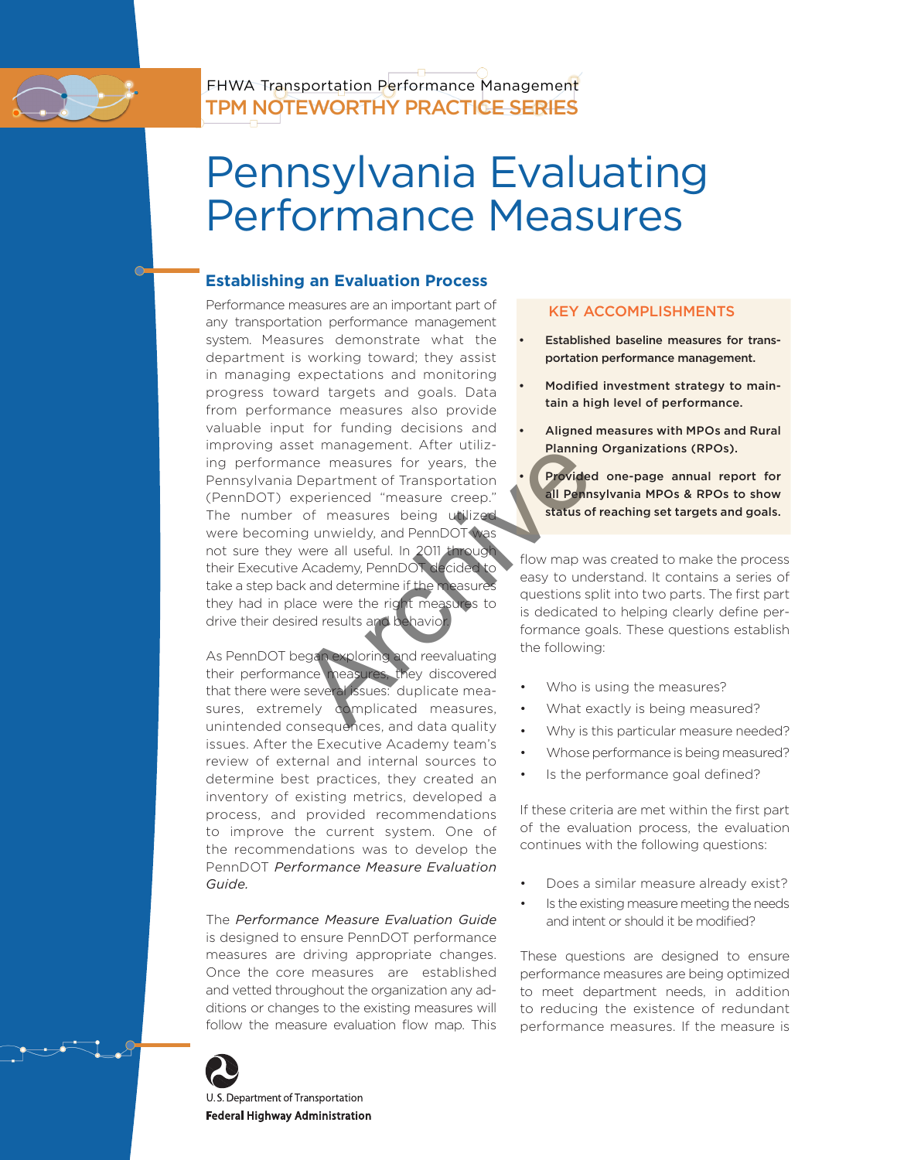# Pennsylvania Evaluating Performance Measures

# **Establishing an Evaluation Process**

Bet management. After dtill2-<br>
The measures for years, the<br>
Department of Transportation<br>
experienced "measure creep."<br>
of measures being utilized<br>
all Pennsylv<br>
of measures being utilized<br>
Pennsylv<br>
status of reactions of Performance measures are an important part of any transportation performance management system. Measures demonstrate what the department is working toward; they assist in managing expectations and monitoring progress toward targets and goals. Data from performance measures also provide valuable input for funding decisions and improving asset management. After utilizing performance measures for years, the Pennsylvania Department of Transportation (PennDOT) experienced "measure creep." The number of measures being utilized were becoming unwieldy, and PennDOT was not sure they were all useful. In 2011 through their Executive Academy, PennDOT decided to take a step back and determine if the measures they had in place were the right measures to drive their desired results and behavior.

As PennDOT began exploring and reevaluating their performance measures, they discovered that there were several issues: duplicate measures, extremely complicated measures, unintended consequences, and data quality issues. After the Executive Academy team's review of external and internal sources to determine best practices, they created an inventory of existing metrics, developed a process, and provided recommendations to improve the current system. One of the recommendations was to develop the PennDOT *Performance Measure Evaluation Guide.* 

The *Performance Measure Evaluation Guide*  is designed to ensure PennDOT performance measures are driving appropriate changes. Once the core measures are established and vetted throughout the organization any additions or changes to the existing measures will follow the measure evaluation flow map. This



U.S. Department of Transportation **Federal Highway Administration** 

# KEY ACCOMPLISHMENTS

- Established baseline measures for transportation performance management.
- Modified investment strategy to maintain a high level of performance.
- Aligned measures with MPOs and Rural Planning Organizations (RPOs).

Provided one-page annual report for all Pennsylvania MPOs & RPOs to show status of reaching set targets and goals.

flow map was created to make the process easy to understand. It contains a series of questions split into two parts. The first part is dedicated to helping clearly define performance goals. These questions establish the following:

- Who is using the measures?
- What exactly is being measured?
- Why is this particular measure needed?
- Whose performance is being measured?
- Is the performance goal defined?

If these criteria are met within the first part of the evaluation process, the evaluation continues with the following questions:

- Does a similar measure already exist?
- Is the existing measure meeting the needs and intent or should it be modified?

These questions are designed to ensure performance measures are being optimized to meet department needs, in addition to reducing the existence of redundant performance measures. If the measure is